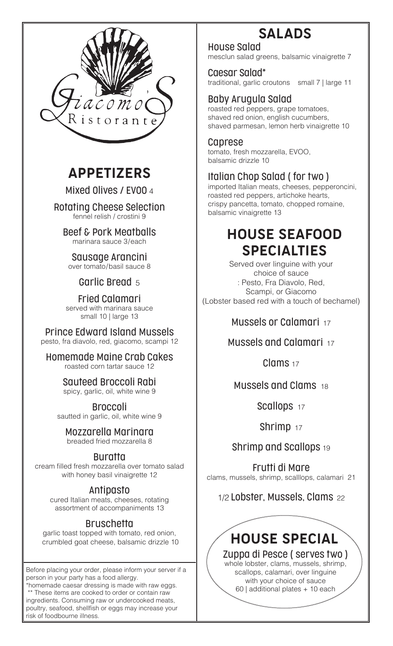

# APPETIZERS

Mixed Olives / EVOO 4

Rotating Cheese Selection fennel relish / crostini 9

Beef & Pork Meatballs marinara sauce 3/each

Sausage Arancini over tomato/basil sauce 8

#### Garlic Bread 5

Fried Calamari served with marinara sauce small 10 | large 13

Prince Edward Island Mussels pesto, fra diavolo, red, giacomo, scampi 12

Homemade Maine Crab Cakes roasted corn tartar sauce 12

> Sauteed Broccoli Rabi spicy, garlic, oil, white wine 9

Broccoli sautted in garlic, oil, white wine 9

Mozzarella Marinara breaded fried mozzarella 8

#### Buratta

cream filled fresh mozzarella over tomato salad with honey basil vinaigrette 12

#### Antipasto

cured Italian meats, cheeses, rotating assortment of accompaniments 13

#### **Bruschetta**

garlic toast topped with tomato, red onion, crumbled goat cheese, balsamic drizzle 10

Before placing your order, please inform your server if a person in your party has a food allergy.

\*homemade caesar dressing is made with raw eggs. \*\* These items are cooked to order or contain raw ingredients. Consuming raw or undercooked meats, poultry, seafood, shellfish or eggs may increase your risk of foodbourne illness.

# SALADS

House Salad mesclun salad greens, balsamic vinaigrette 7

#### Caesar Salad\*

traditional, garlic croutons small 7 | large 11

#### Baby Arugula Salad

roasted red peppers, grape tomatoes, shaved red onion, english cucumbers, shaved parmesan, lemon herb vinaigrette 10

#### Caprese

tomato, fresh mozzarella, EVOO, balsamic drizzle 10

#### Italian Chop Salad ( for two )

imported Italian meats, cheeses, pepperoncini, roasted red peppers, artichoke hearts, crispy pancetta, tomato, chopped romaine, balsamic vinaigrette 13

# HOUSE SEAFOOD SPECIALTIES

Served over linguine with your choice of sauce : Pesto, Fra Diavolo, Red, Scampi, or Giacomo (Lobster based red with a touch of bechamel)

#### Mussels or Calamari 17

Mussels and Calamari 17

Clams <sub>17</sub>

#### Mussels and Clams 18

Scallops 17

Shrimp 17

Shrimp and Scallops 19

Frutti di Mare clams, mussels, shrimp, scalllops, calamari 21

## 1/2 Lobster, Mussels, Clams 22



scallops, calamari, over linguine with your choice of sauce 60 | additional plates + 10 each